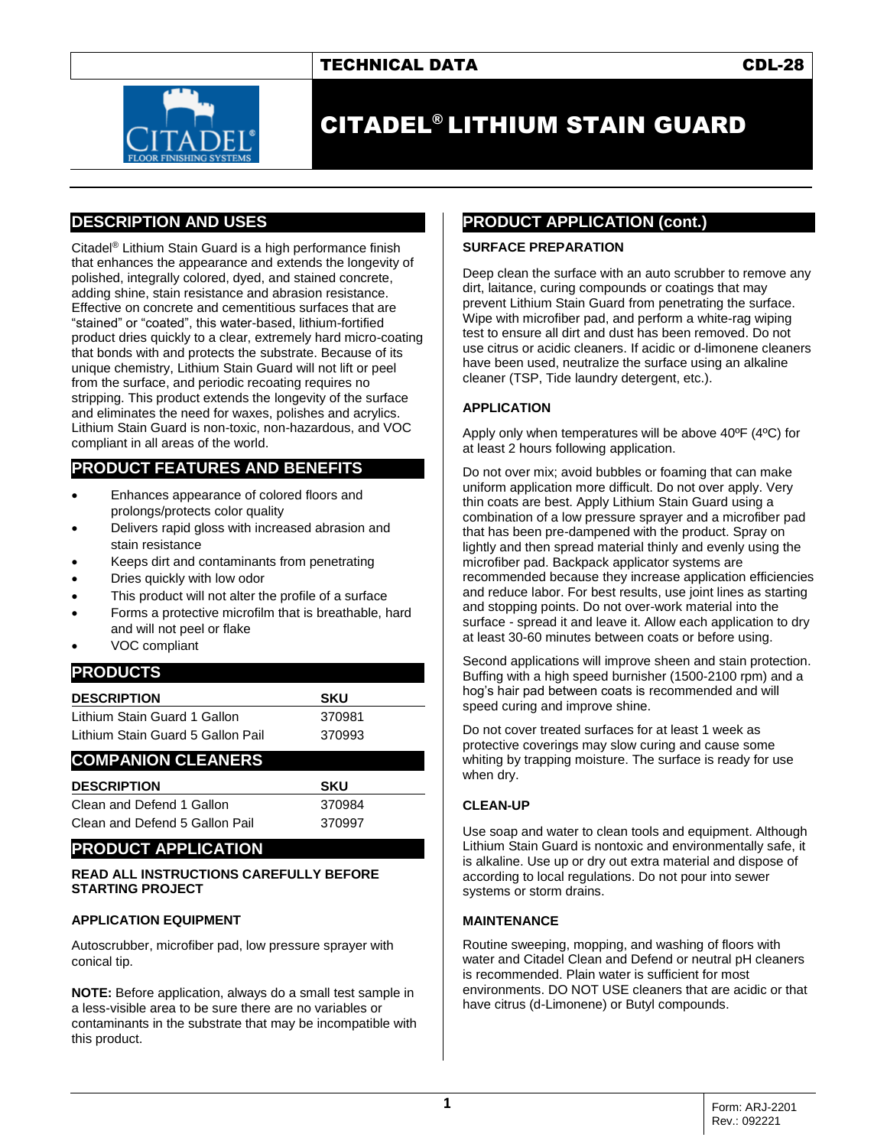## TECHNICAL DATA CDL-28



# CITADEL® LITHIUM STAIN GUARD

# **DESCRIPTION AND USES**

Citadel® Lithium Stain Guard is a high performance finish that enhances the appearance and extends the longevity of polished, integrally colored, dyed, and stained concrete, adding shine, stain resistance and abrasion resistance. Effective on concrete and cementitious surfaces that are "stained" or "coated", this water-based, lithium-fortified product dries quickly to a clear, extremely hard micro-coating that bonds with and protects the substrate. Because of its unique chemistry, Lithium Stain Guard will not lift or peel from the surface, and periodic recoating requires no stripping. This product extends the longevity of the surface and eliminates the need for waxes, polishes and acrylics. Lithium Stain Guard is non-toxic, non-hazardous, and VOC compliant in all areas of the world.

# **PRODUCT FEATURES AND BENEFITS**

- Enhances appearance of colored floors and prolongs/protects color quality
- Delivers rapid gloss with increased abrasion and stain resistance
- Keeps dirt and contaminants from penetrating
- Dries quickly with low odor
- This product will not alter the profile of a surface
- Forms a protective microfilm that is breathable, hard and will not peel or flake
- VOC compliant

## **PRODUCTS**

| <b>SKU</b> |  |
|------------|--|
| 370981     |  |
| 370993     |  |
|            |  |

## **COMPANION CLEANERS**

| <b>DESCRIPTION</b>             | <b>SKU</b> |
|--------------------------------|------------|
| Clean and Defend 1 Gallon      | 370984     |
| Clean and Defend 5 Gallon Pail | 370997     |

## **PRODUCT APPLICATION**

#### **READ ALL INSTRUCTIONS CAREFULLY BEFORE STARTING PROJECT**

#### **APPLICATION EQUIPMENT**

Autoscrubber, microfiber pad, low pressure sprayer with conical tip.

**NOTE:** Before application, always do a small test sample in a less-visible area to be sure there are no variables or contaminants in the substrate that may be incompatible with this product.

## **PRODUCT APPLICATION (cont.)**

#### **SURFACE PREPARATION**

Deep clean the surface with an auto scrubber to remove any dirt, laitance, curing compounds or coatings that may prevent Lithium Stain Guard from penetrating the surface. Wipe with microfiber pad, and perform a white-rag wiping test to ensure all dirt and dust has been removed. Do not use citrus or acidic cleaners. If acidic or d-limonene cleaners have been used, neutralize the surface using an alkaline cleaner (TSP, Tide laundry detergent, etc.).

#### **APPLICATION**

Apply only when temperatures will be above 40ºF (4ºC) for at least 2 hours following application.

Do not over mix; avoid bubbles or foaming that can make uniform application more difficult. Do not over apply. Very thin coats are best. Apply Lithium Stain Guard using a combination of a low pressure sprayer and a microfiber pad that has been pre-dampened with the product. Spray on lightly and then spread material thinly and evenly using the microfiber pad. Backpack applicator systems are recommended because they increase application efficiencies and reduce labor. For best results, use joint lines as starting and stopping points. Do not over-work material into the surface - spread it and leave it. Allow each application to dry at least 30-60 minutes between coats or before using.

Second applications will improve sheen and stain protection. Buffing with a high speed burnisher (1500-2100 rpm) and a hog's hair pad between coats is recommended and will speed curing and improve shine.

Do not cover treated surfaces for at least 1 week as protective coverings may slow curing and cause some whiting by trapping moisture. The surface is ready for use when dry.

#### **CLEAN-UP**

Use soap and water to clean tools and equipment. Although Lithium Stain Guard is nontoxic and environmentally safe, it is alkaline. Use up or dry out extra material and dispose of according to local regulations. Do not pour into sewer systems or storm drains.

#### **MAINTENANCE**

Routine sweeping, mopping, and washing of floors with water and Citadel Clean and Defend or neutral pH cleaners is recommended. Plain water is sufficient for most environments. DO NOT USE cleaners that are acidic or that have citrus (d-Limonene) or Butyl compounds.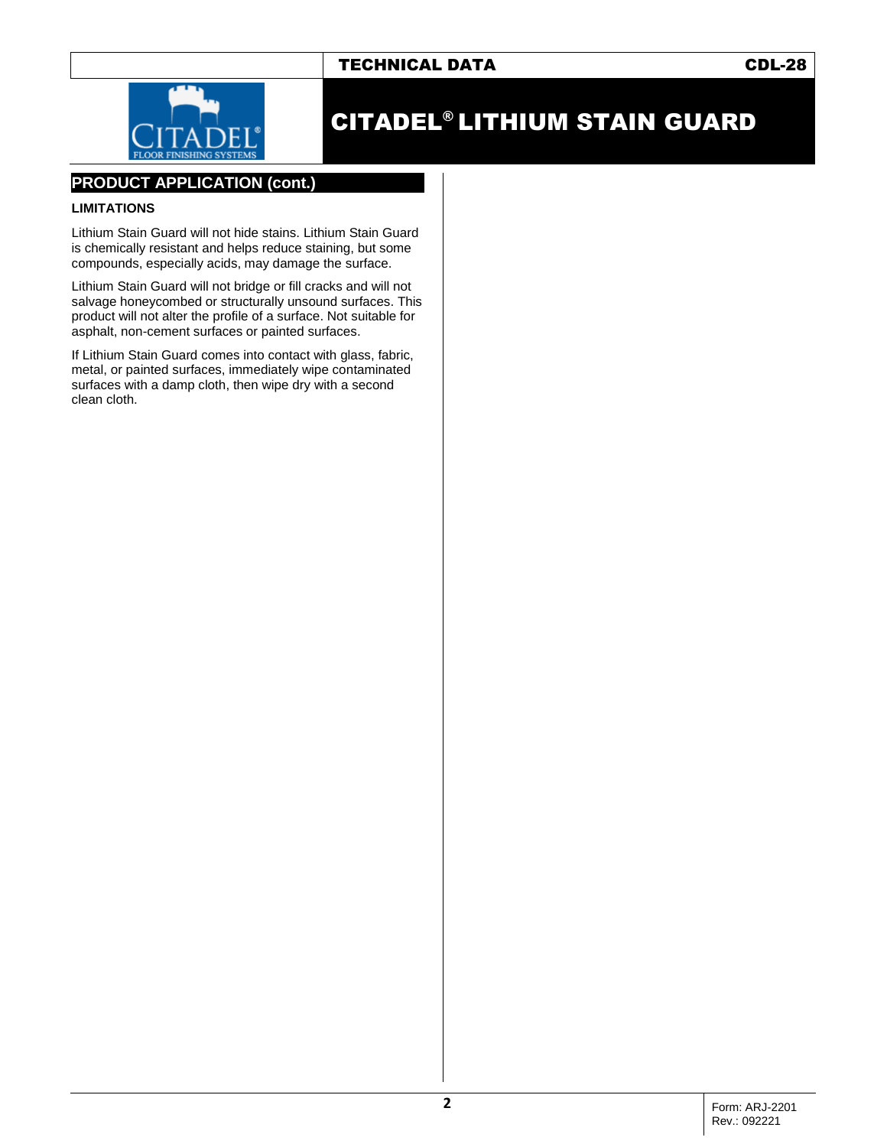# TECHNICAL DATA CDL-28



# CITADEL® LITHIUM STAIN GUARD

## **PRODUCT APPLICATION (cont.)**

#### **LIMITATIONS**

Lithium Stain Guard will not hide stains. Lithium Stain Guard is chemically resistant and helps reduce staining, but some compounds, especially acids, may damage the surface.

Lithium Stain Guard will not bridge or fill cracks and will not salvage honeycombed or structurally unsound surfaces. This product will not alter the profile of a surface. Not suitable for asphalt, non-cement surfaces or painted surfaces.

If Lithium Stain Guard comes into contact with glass, fabric, metal, or painted surfaces, immediately wipe contaminated surfaces with a damp cloth, then wipe dry with a second clean cloth.